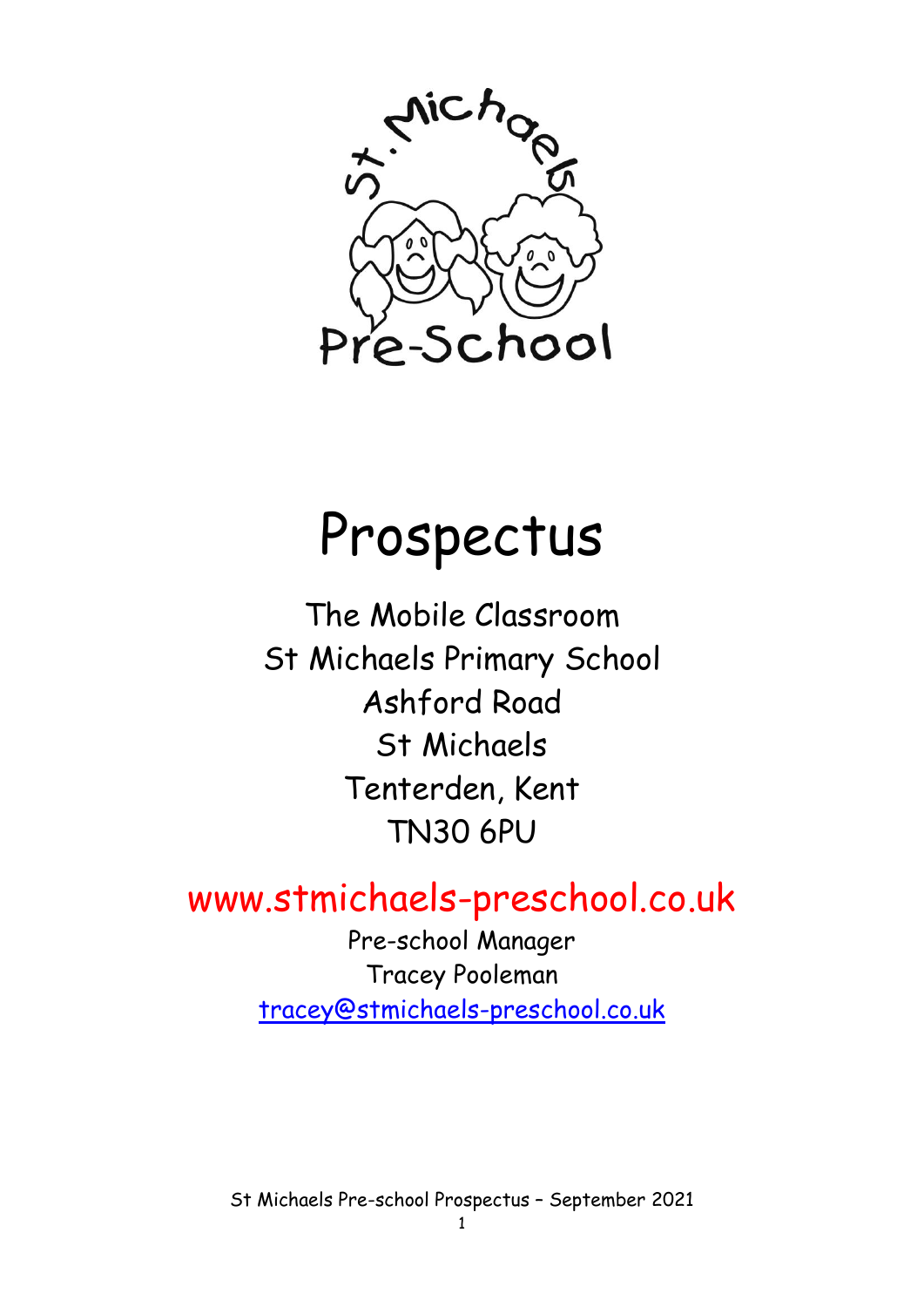

# Prospectus

The Mobile Classroom St Michaels Primary School Ashford Road St Michaels Tenterden, Kent TN30 6PU

# www.stmichaels-preschool.co.uk

Pre-school Manager Tracey Pooleman [tracey@stmichaels-preschool.co.uk](mailto:tracey@stmichaels-preschool.co.uk)

St Michaels Pre-school Prospectus – September 2021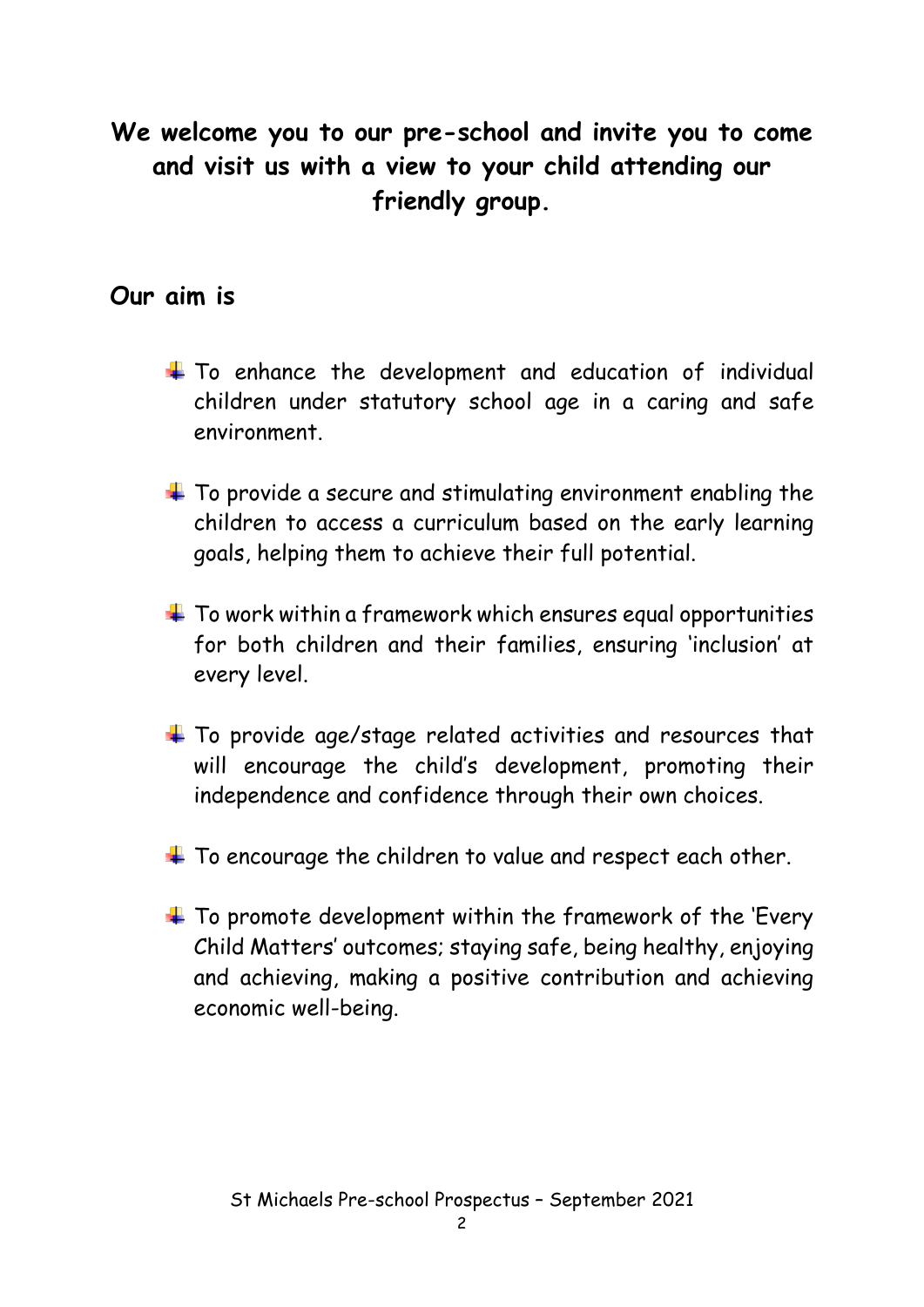# **We welcome you to our pre-school and invite you to come and visit us with a view to your child attending our friendly group.**

# **Our aim is**

- $\ddot{\bullet}$  To enhance the development and education of individual children under statutory school age in a caring and safe environment.
- $\ddot{\bullet}$  To provide a secure and stimulating environment enabling the children to access a curriculum based on the early learning goals, helping them to achieve their full potential.
- $\ddot{\bullet}$  To work within a framework which ensures equal opportunities for both children and their families, ensuring 'inclusion' at every level.
- $\pm$  To provide age/stage related activities and resources that will encourage the child's development, promoting their independence and confidence through their own choices.
- $\ddot{\phantom{1}}$  To encourage the children to value and respect each other.
- $\ddot{\bullet}$  To promote development within the framework of the 'Every' Child Matters' outcomes; staying safe, being healthy, enjoying and achieving, making a positive contribution and achieving economic well-being.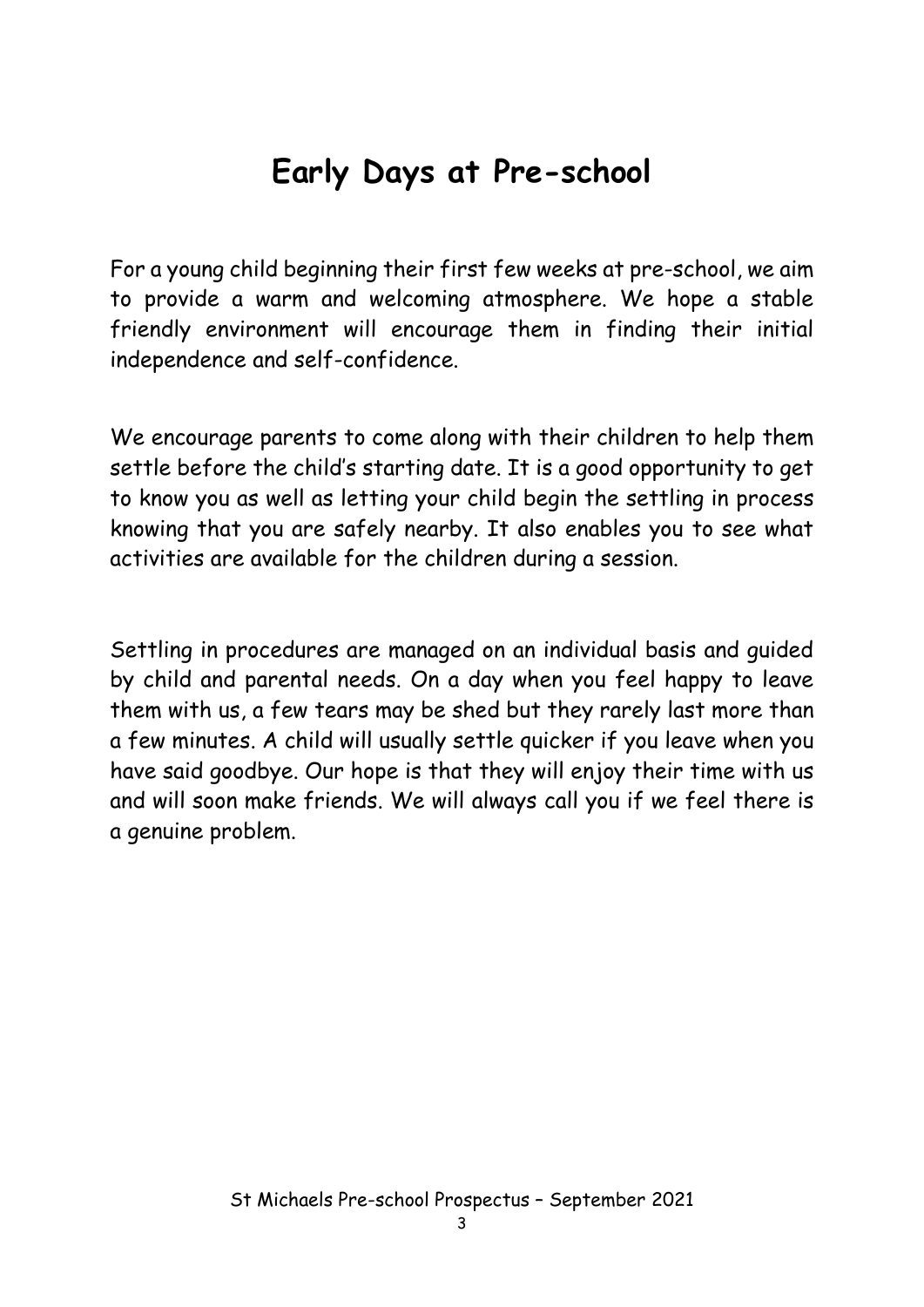# **Early Days at Pre-school**

For a young child beginning their first few weeks at pre-school, we aim to provide a warm and welcoming atmosphere. We hope a stable friendly environment will encourage them in finding their initial independence and self-confidence.

We encourage parents to come along with their children to help them settle before the child's starting date. It is a good opportunity to get to know you as well as letting your child begin the settling in process knowing that you are safely nearby. It also enables you to see what activities are available for the children during a session.

Settling in procedures are managed on an individual basis and guided by child and parental needs. On a day when you feel happy to leave them with us, a few tears may be shed but they rarely last more than a few minutes. A child will usually settle quicker if you leave when you have said goodbye. Our hope is that they will enjoy their time with us and will soon make friends. We will always call you if we feel there is a genuine problem.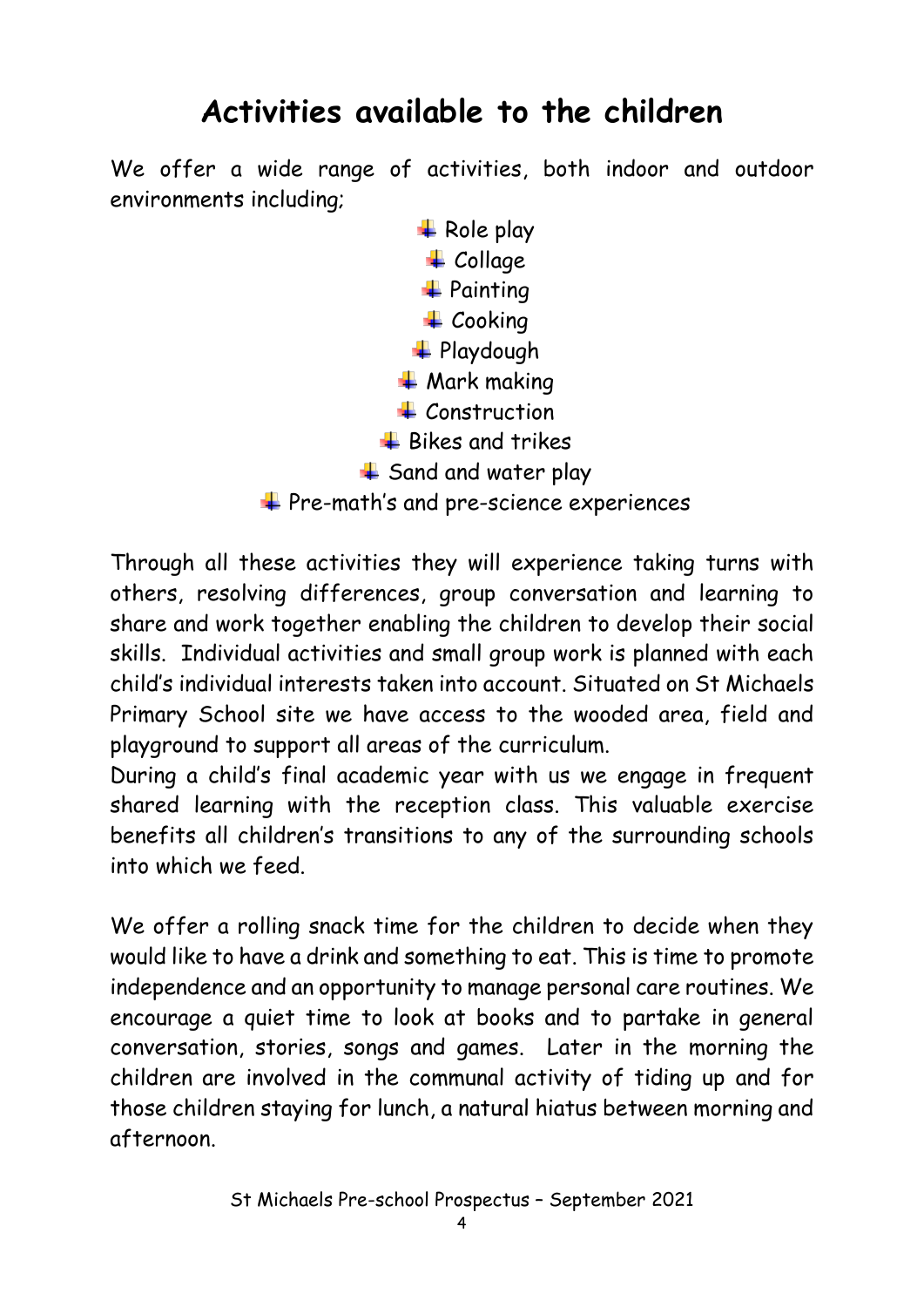# **Activities available to the children**

We offer a wide range of activities, both indoor and outdoor environments including;



Through all these activities they will experience taking turns with others, resolving differences, group conversation and learning to share and work together enabling the children to develop their social skills. Individual activities and small group work is planned with each child's individual interests taken into account. Situated on St Michaels Primary School site we have access to the wooded area, field and playground to support all areas of the curriculum.

During a child's final academic year with us we engage in frequent shared learning with the reception class. This valuable exercise benefits all children's transitions to any of the surrounding schools into which we feed.

We offer a rolling snack time for the children to decide when they would like to have a drink and something to eat. This is time to promote independence and an opportunity to manage personal care routines. We encourage a quiet time to look at books and to partake in general conversation, stories, songs and games. Later in the morning the children are involved in the communal activity of tiding up and for those children staying for lunch, a natural hiatus between morning and afternoon.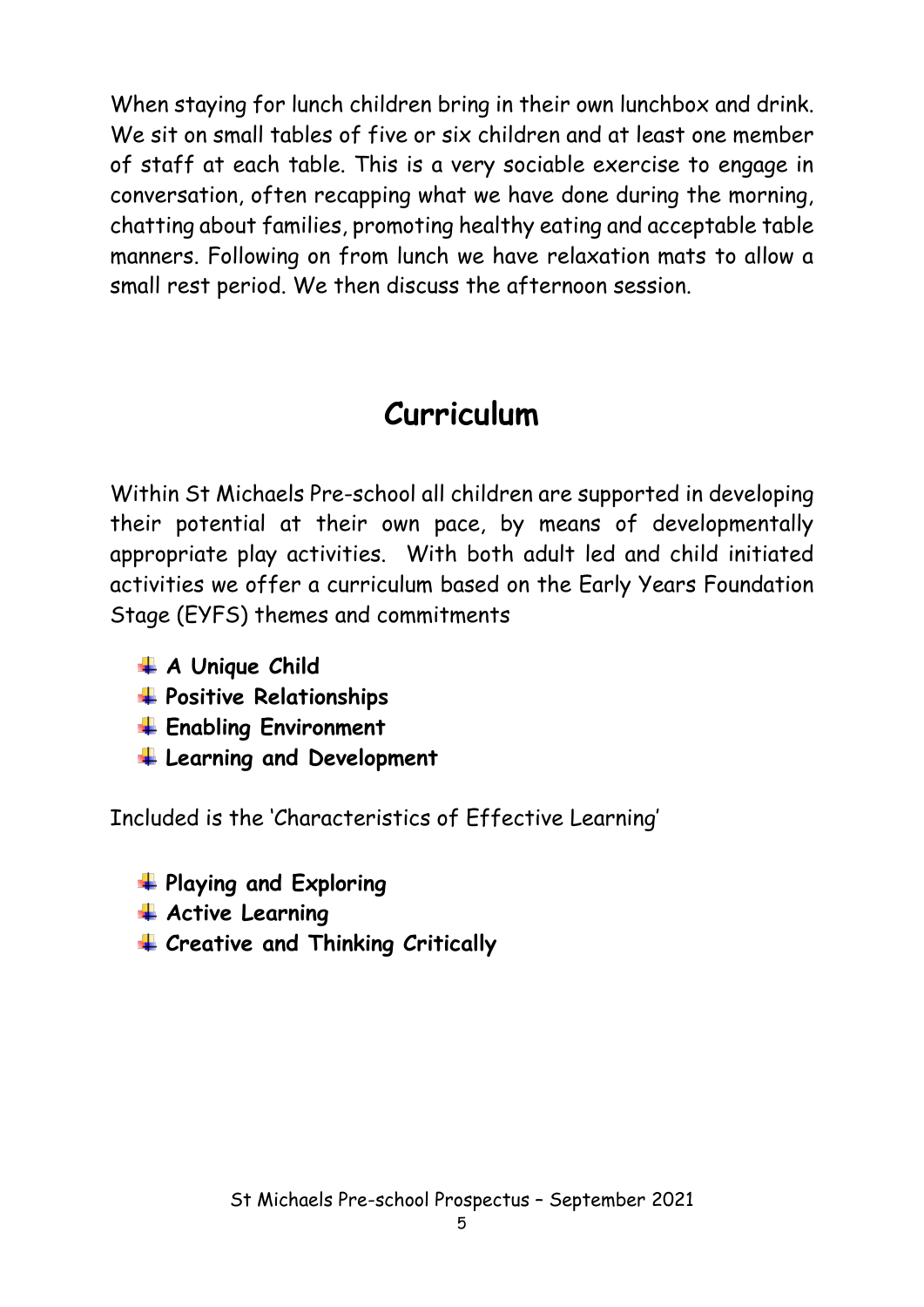When staying for lunch children bring in their own lunchbox and drink. We sit on small tables of five or six children and at least one member of staff at each table. This is a very sociable exercise to engage in conversation, often recapping what we have done during the morning, chatting about families, promoting healthy eating and acceptable table manners. Following on from lunch we have relaxation mats to allow a small rest period. We then discuss the afternoon session.

# **Curriculum**

Within St Michaels Pre-school all children are supported in developing their potential at their own pace, by means of developmentally appropriate play activities. With both adult led and child initiated activities we offer a curriculum based on the Early Years Foundation Stage (EYFS) themes and commitments

- **A Unique Child**
- **Positive Relationships**
- **Enabling Environment**
- **Learning and Development**

Included is the 'Characteristics of Effective Learning'

- **Playing and Exploring**
- **Active Learning**
- **Creative and Thinking Critically**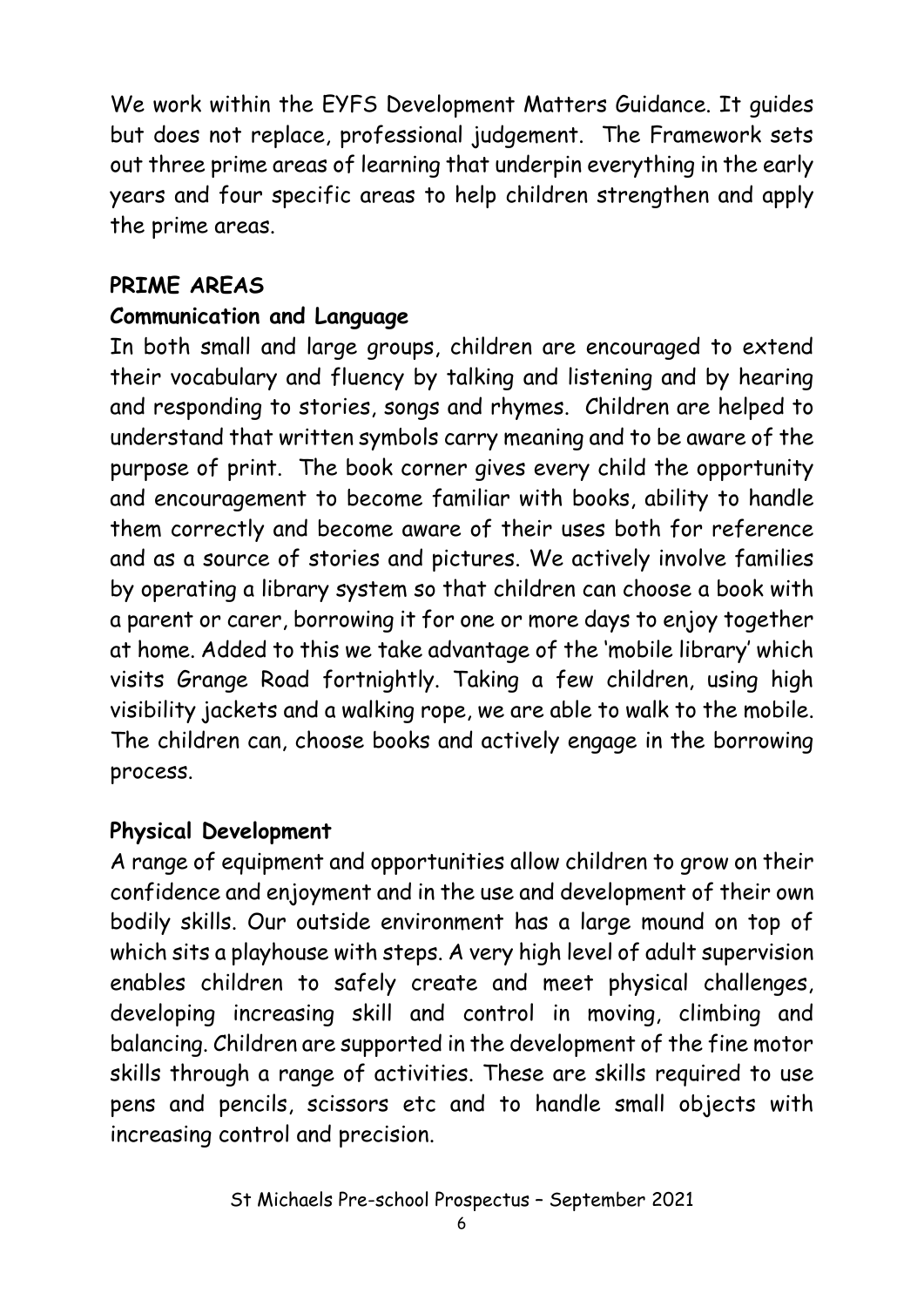We work within the EYFS Development Matters Guidance. It guides but does not replace, professional judgement. The Framework sets out three prime areas of learning that underpin everything in the early years and four specific areas to help children strengthen and apply the prime areas.

### **PRIME AREAS**

## **Communication and Language**

In both small and large groups, children are encouraged to extend their vocabulary and fluency by talking and listening and by hearing and responding to stories, songs and rhymes. Children are helped to understand that written symbols carry meaning and to be aware of the purpose of print. The book corner gives every child the opportunity and encouragement to become familiar with books, ability to handle them correctly and become aware of their uses both for reference and as a source of stories and pictures. We actively involve families by operating a library system so that children can choose a book with a parent or carer, borrowing it for one or more days to enjoy together at home. Added to this we take advantage of the 'mobile library' which visits Grange Road fortnightly. Taking a few children, using high visibility jackets and a walking rope, we are able to walk to the mobile. The children can, choose books and actively engage in the borrowing process.

# **Physical Development**

A range of equipment and opportunities allow children to grow on their confidence and enjoyment and in the use and development of their own bodily skills. Our outside environment has a large mound on top of which sits a playhouse with steps. A very high level of adult supervision enables children to safely create and meet physical challenges, developing increasing skill and control in moving, climbing and balancing. Children are supported in the development of the fine motor skills through a range of activities. These are skills required to use pens and pencils, scissors etc and to handle small objects with increasing control and precision.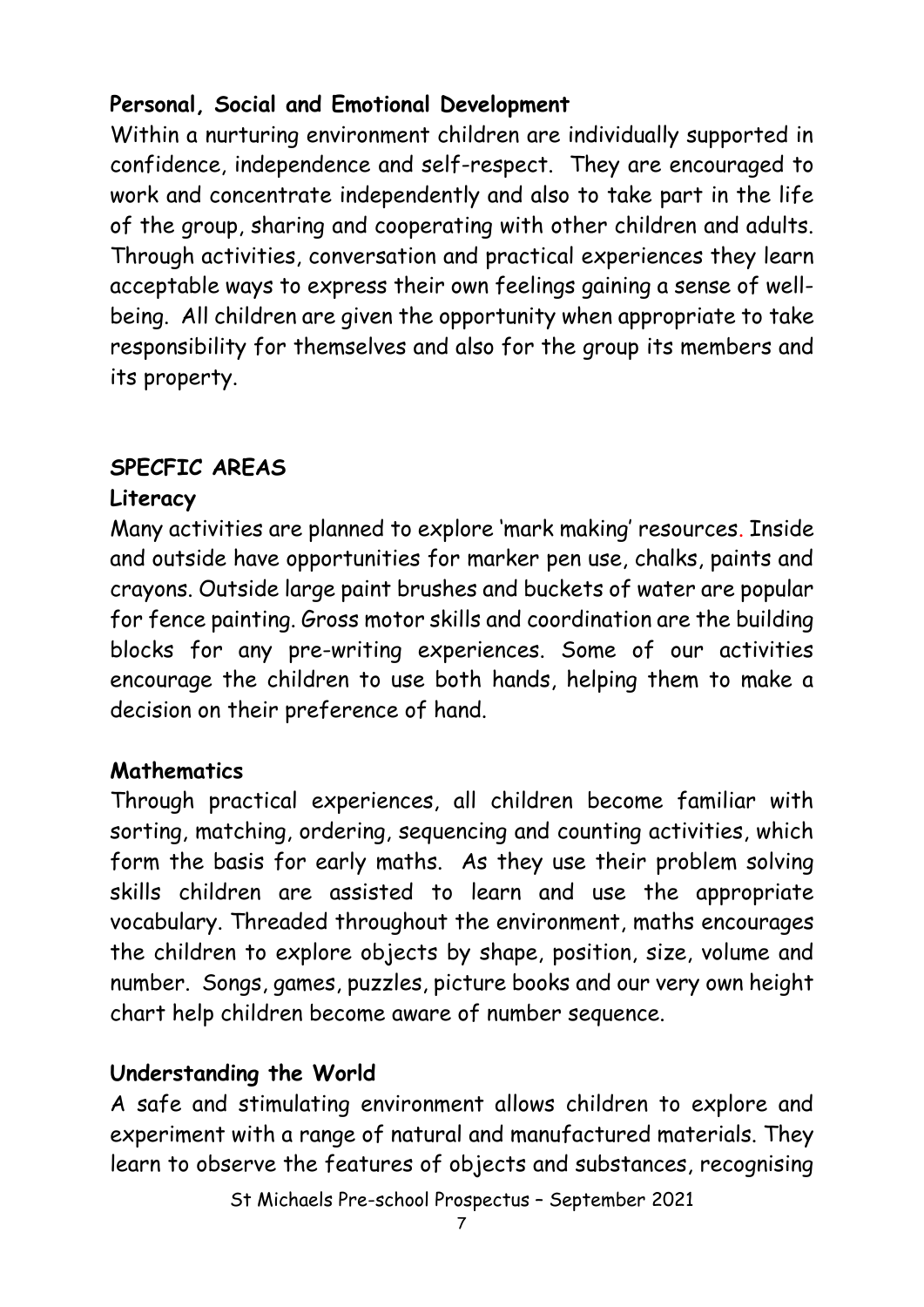# **Personal, Social and Emotional Development**

Within a nurturing environment children are individually supported in confidence, independence and self-respect. They are encouraged to work and concentrate independently and also to take part in the life of the group, sharing and cooperating with other children and adults. Through activities, conversation and practical experiences they learn acceptable ways to express their own feelings gaining a sense of wellbeing. All children are given the opportunity when appropriate to take responsibility for themselves and also for the group its members and its property.

## **SPECFIC AREAS**

### **Literacy**

Many activities are planned to explore 'mark making' resources. Inside and outside have opportunities for marker pen use, chalks, paints and crayons. Outside large paint brushes and buckets of water are popular for fence painting. Gross motor skills and coordination are the building blocks for any pre-writing experiences. Some of our activities encourage the children to use both hands, helping them to make a decision on their preference of hand.

### **Mathematics**

Through practical experiences, all children become familiar with sorting, matching, ordering, sequencing and counting activities, which form the basis for early maths. As they use their problem solving skills children are assisted to learn and use the appropriate vocabulary. Threaded throughout the environment, maths encourages the children to explore objects by shape, position, size, volume and number. Songs, games, puzzles, picture books and our very own height chart help children become aware of number sequence.

# **Understanding the World**

A safe and stimulating environment allows children to explore and experiment with a range of natural and manufactured materials. They learn to observe the features of objects and substances, recognising

St Michaels Pre-school Prospectus – September 2021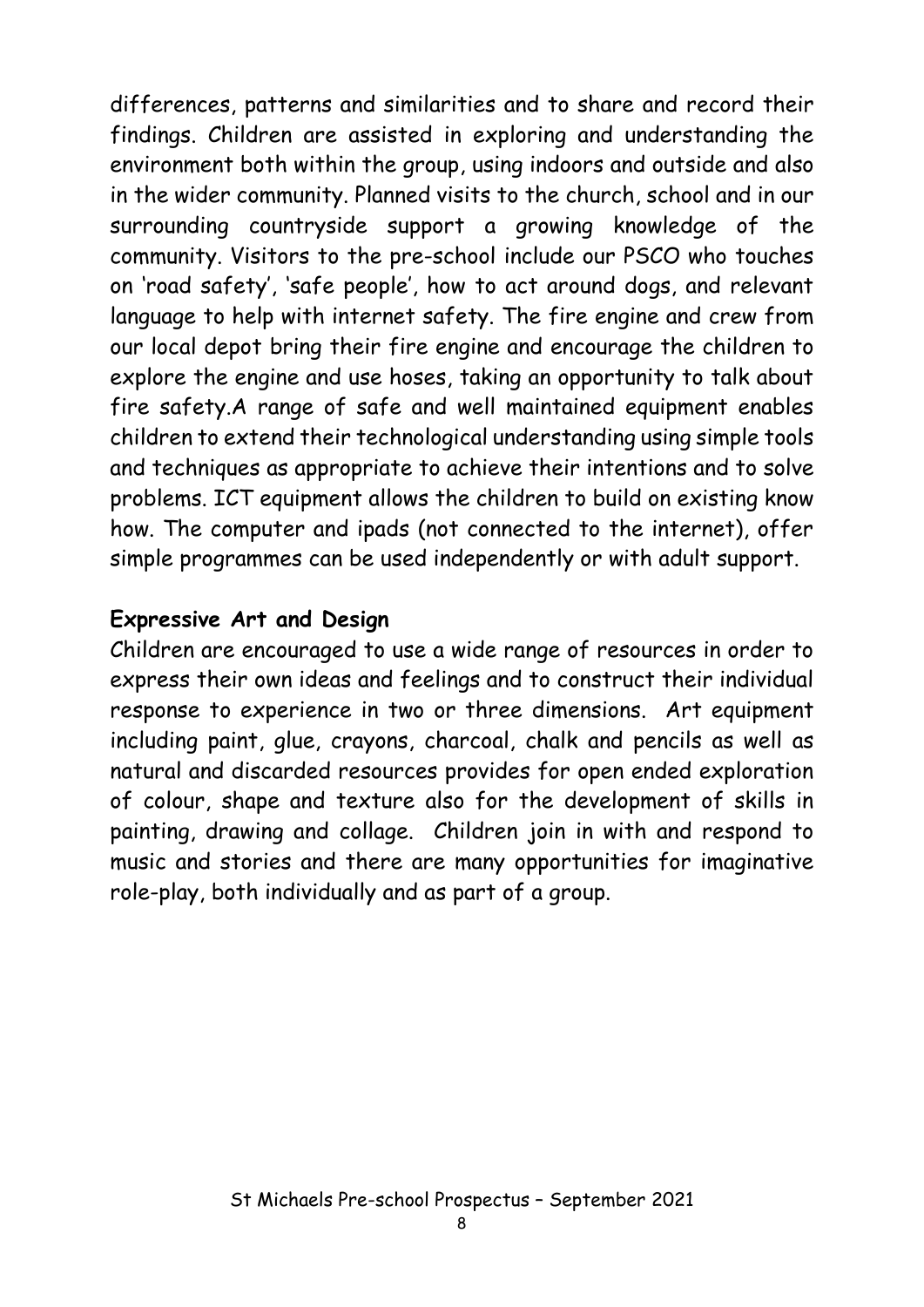differences, patterns and similarities and to share and record their findings. Children are assisted in exploring and understanding the environment both within the group, using indoors and outside and also in the wider community. Planned visits to the church, school and in our surrounding countryside support a growing knowledge of the community. Visitors to the pre-school include our PSCO who touches on 'road safety', 'safe people', how to act around dogs, and relevant language to help with internet safety. The fire engine and crew from our local depot bring their fire engine and encourage the children to explore the engine and use hoses, taking an opportunity to talk about fire safety.A range of safe and well maintained equipment enables children to extend their technological understanding using simple tools and techniques as appropriate to achieve their intentions and to solve problems. ICT equipment allows the children to build on existing know how. The computer and ipads (not connected to the internet), offer simple programmes can be used independently or with adult support.

#### **Expressive Art and Design**

Children are encouraged to use a wide range of resources in order to express their own ideas and feelings and to construct their individual response to experience in two or three dimensions. Art equipment including paint, glue, crayons, charcoal, chalk and pencils as well as natural and discarded resources provides for open ended exploration of colour, shape and texture also for the development of skills in painting, drawing and collage. Children join in with and respond to music and stories and there are many opportunities for imaginative role-play, both individually and as part of a group.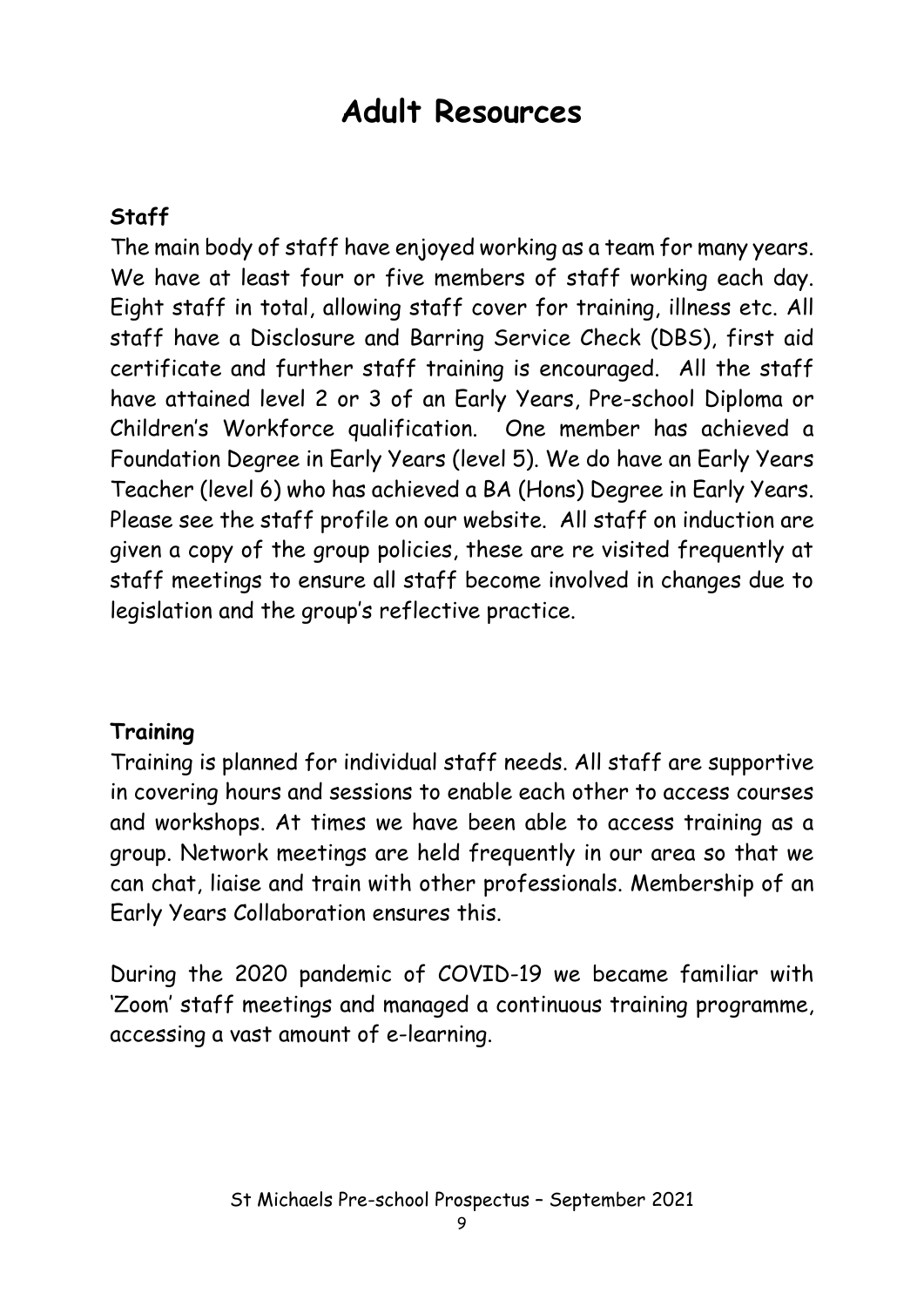# **Adult Resources**

### **Staff**

The main body of staff have enjoyed working as a team for many years. We have at least four or five members of staff working each day. Eight staff in total, allowing staff cover for training, illness etc. All staff have a Disclosure and Barring Service Check (DBS), first aid certificate and further staff training is encouraged. All the staff have attained level 2 or 3 of an Early Years, Pre-school Diploma or Children's Workforce qualification. One member has achieved a Foundation Degree in Early Years (level 5). We do have an Early Years Teacher (level 6) who has achieved a BA (Hons) Degree in Early Years. Please see the staff profile on our website. All staff on induction are given a copy of the group policies, these are re visited frequently at staff meetings to ensure all staff become involved in changes due to legislation and the group's reflective practice.

#### **Training**

Training is planned for individual staff needs. All staff are supportive in covering hours and sessions to enable each other to access courses and workshops. At times we have been able to access training as a group. Network meetings are held frequently in our area so that we can chat, liaise and train with other professionals. Membership of an Early Years Collaboration ensures this.

During the 2020 pandemic of COVID-19 we became familiar with 'Zoom' staff meetings and managed a continuous training programme, accessing a vast amount of e-learning.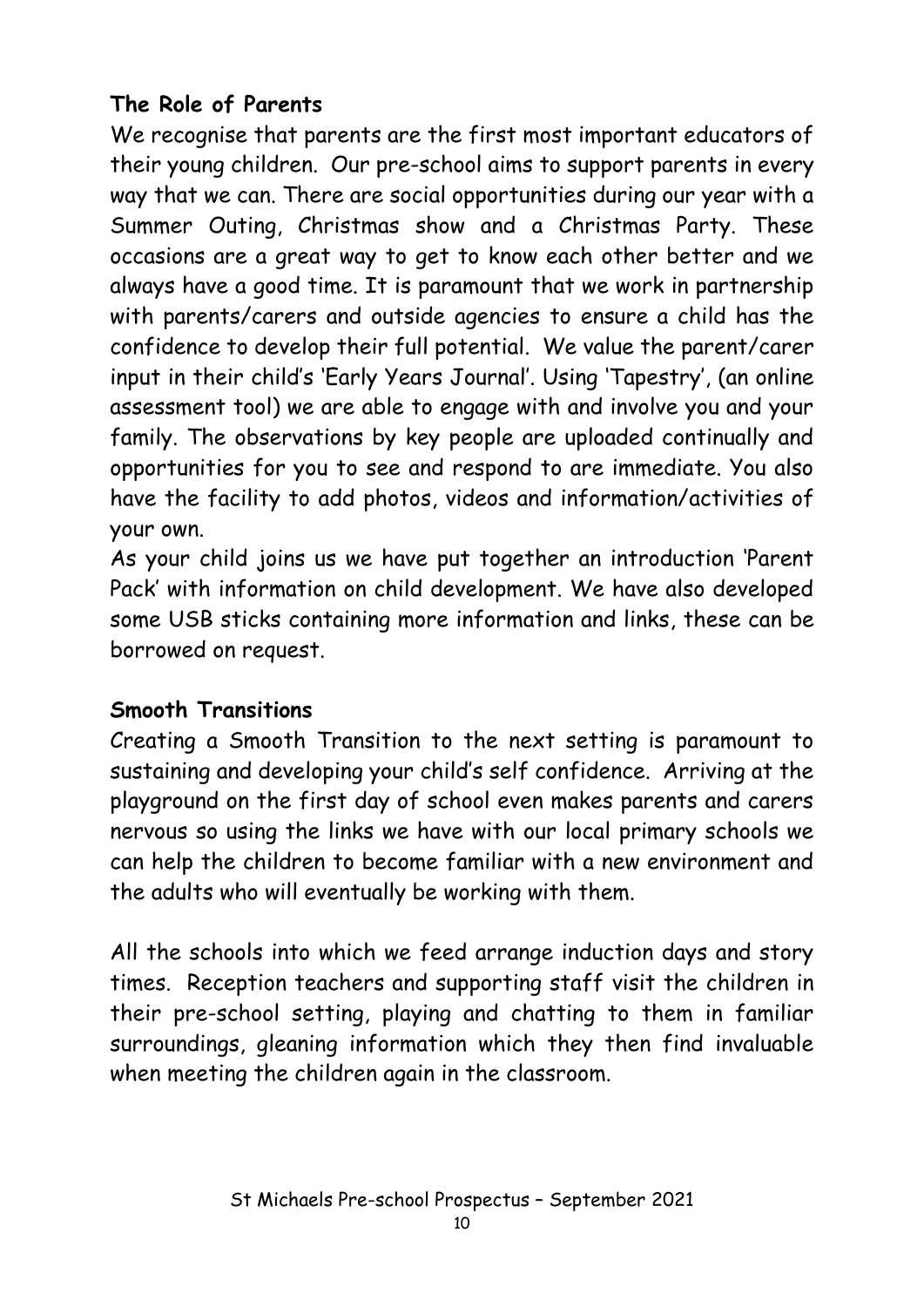# **The Role of Parents**

We recognise that parents are the first most important educators of their young children. Our pre-school aims to support parents in every way that we can. There are social opportunities during our year with a Summer Outing, Christmas show and a Christmas Party. These occasions are a great way to get to know each other better and we always have a good time. It is paramount that we work in partnership with parents/carers and outside agencies to ensure a child has the confidence to develop their full potential. We value the parent/carer input in their child's 'Early Years Journal'. Using 'Tapestry', (an online assessment tool) we are able to engage with and involve you and your family. The observations by key people are uploaded continually and opportunities for you to see and respond to are immediate. You also have the facility to add photos, videos and information/activities of your own.

As your child joins us we have put together an introduction 'Parent Pack' with information on child development. We have also developed some USB sticks containing more information and links, these can be borrowed on request.

### **Smooth Transitions**

Creating a Smooth Transition to the next setting is paramount to sustaining and developing your child's self confidence. Arriving at the playground on the first day of school even makes parents and carers nervous so using the links we have with our local primary schools we can help the children to become familiar with a new environment and the adults who will eventually be working with them.

All the schools into which we feed arrange induction days and story times. Reception teachers and supporting staff visit the children in their pre-school setting, playing and chatting to them in familiar surroundings, gleaning information which they then find invaluable when meeting the children again in the classroom.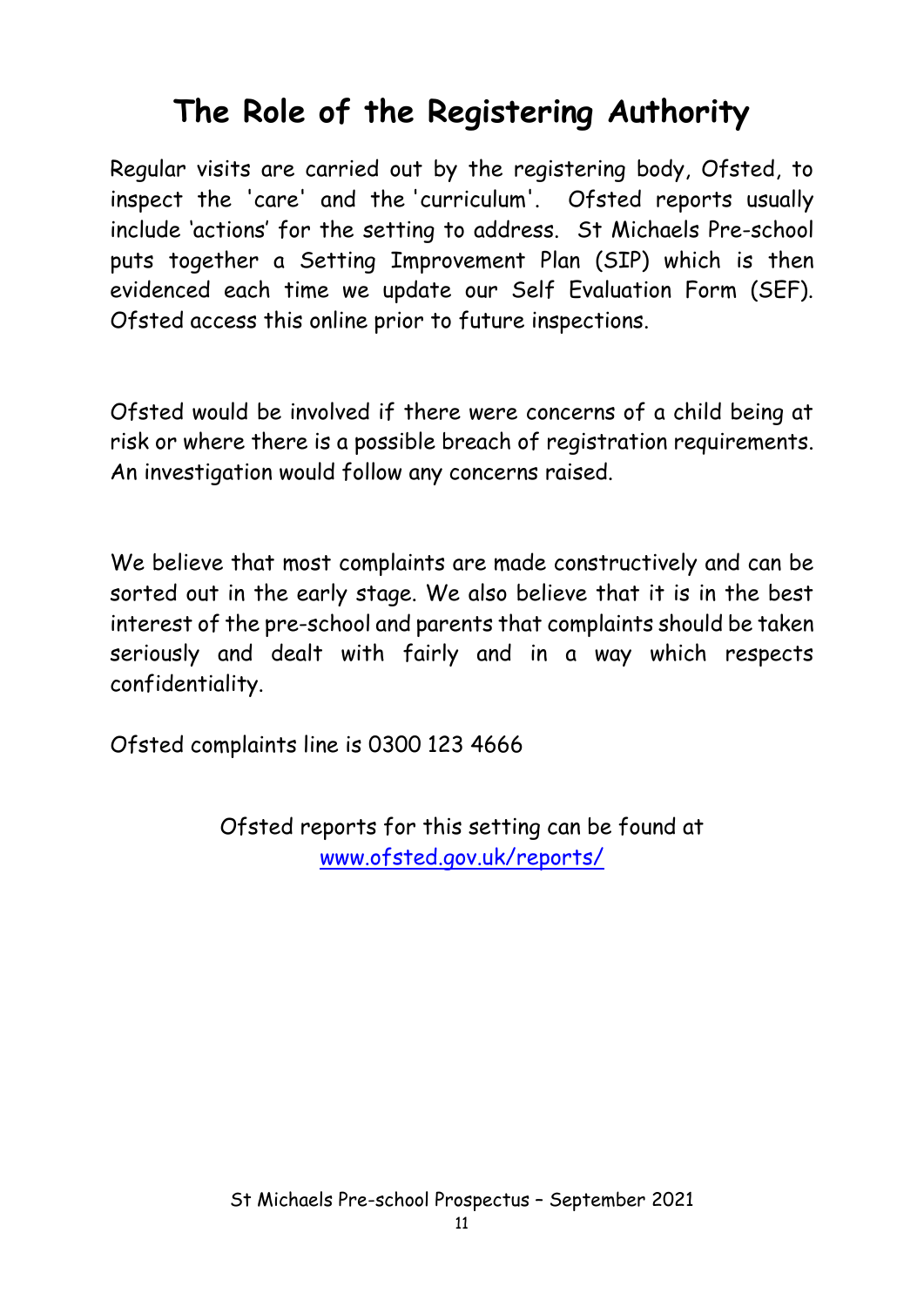# **The Role of the Registering Authority**

Regular visits are carried out by the registering body, Ofsted, to inspect the 'care' and the 'curriculum'. Ofsted reports usually include 'actions' for the setting to address. St Michaels Pre-school puts together a Setting Improvement Plan (SIP) which is then evidenced each time we update our Self Evaluation Form (SEF). Ofsted access this online prior to future inspections.

Ofsted would be involved if there were concerns of a child being at risk or where there is a possible breach of registration requirements. An investigation would follow any concerns raised.

We believe that most complaints are made constructively and can be sorted out in the early stage. We also believe that it is in the best interest of the pre-school and parents that complaints should be taken seriously and dealt with fairly and in a way which respects confidentiality.

Ofsted complaints line is 0300 123 4666

Ofsted reports for this setting can be found at [www.ofsted.gov.uk/reports/](http://www.ofsted.gov.uk/reports/)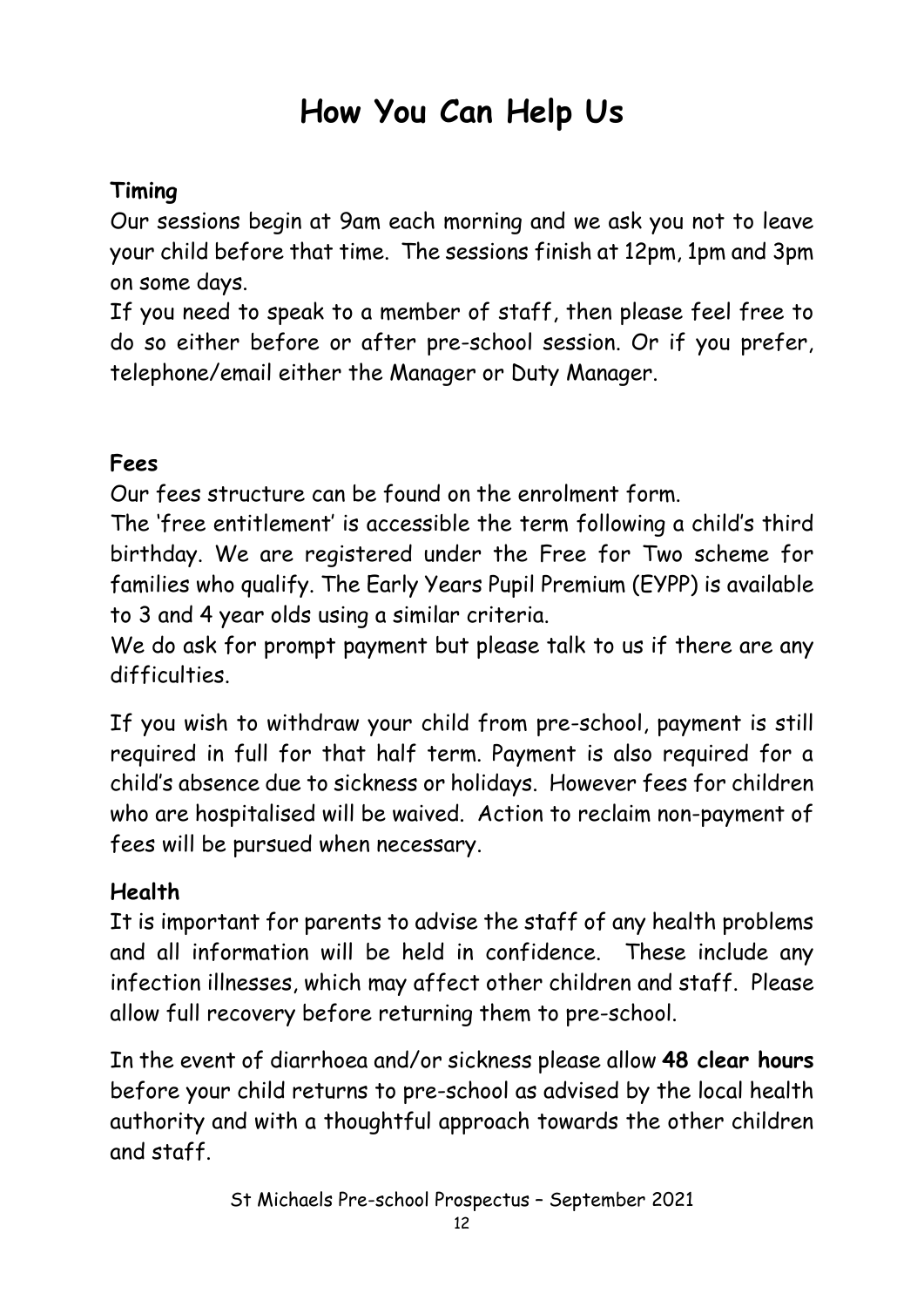# **How You Can Help Us**

### **Timing**

Our sessions begin at 9am each morning and we ask you not to leave your child before that time. The sessions finish at 12pm, 1pm and 3pm on some days.

If you need to speak to a member of staff, then please feel free to do so either before or after pre-school session. Or if you prefer, telephone/email either the Manager or Duty Manager.

## **Fees**

Our fees structure can be found on the enrolment form.

The 'free entitlement' is accessible the term following a child's third birthday. We are registered under the Free for Two scheme for families who qualify. The Early Years Pupil Premium (EYPP) is available to 3 and 4 year olds using a similar criteria.

We do ask for prompt payment but please talk to us if there are any difficulties.

If you wish to withdraw your child from pre-school, payment is still required in full for that half term. Payment is also required for a child's absence due to sickness or holidays. However fees for children who are hospitalised will be waived. Action to reclaim non-payment of fees will be pursued when necessary.

# **Health**

It is important for parents to advise the staff of any health problems and all information will be held in confidence. These include any infection illnesses, which may affect other children and staff. Please allow full recovery before returning them to pre-school.

In the event of diarrhoea and/or sickness please allow **48 clear hours**  before your child returns to pre-school as advised by the local health authority and with a thoughtful approach towards the other children and staff.